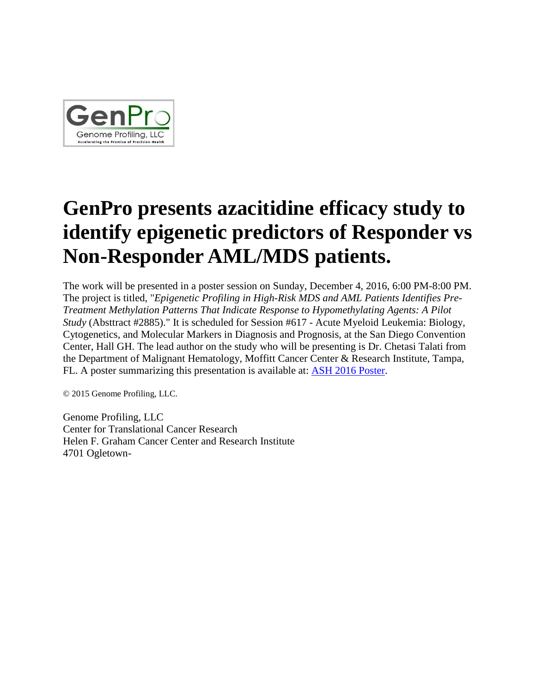

## **GenPro presents azacitidine efficacy study to identify epigenetic predictors of Responder vs Non-Responder AML/MDS patients.**

The work will be presented in a poster session on Sunday, December 4, 2016, 6:00 PM-8:00 PM. The project is titled, "*Epigenetic Profiling in High-Risk MDS and AML Patients Identifies Pre-Treatment Methylation Patterns That Indicate Response to Hypomethylating Agents: A Pilot Study* (Absttract #2885)." It is scheduled for Session #617 - Acute Myeloid Leukemia: Biology, Cytogenetics, and Molecular Markers in Diagnosis and Prognosis, at the San Diego Convention Center, Hall GH. The lead author on the study who will be presenting is Dr. Chetasi Talati from the Department of Malignant Hematology, Moffitt Cancer Center & Research Institute, Tampa, FL. A poster summarizing this presentation is available at: **ASH 2016 Poster.** 

© 2015 Genome Profiling, LLC.

Genome Profiling, LLC Center for Translational Cancer Research Helen F. Graham Cancer Center and Research Institute 4701 Ogletown-